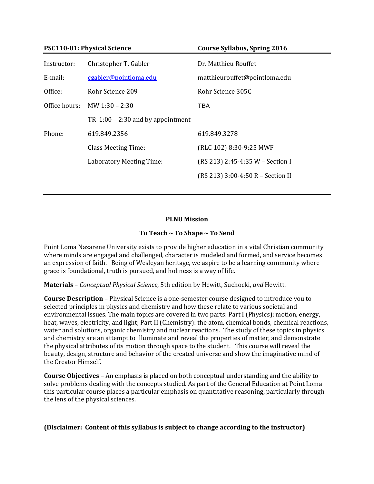| <b>PSC110-01: Physical Science</b> |                                     | <b>Course Syllabus, Spring 2016</b> |  |
|------------------------------------|-------------------------------------|-------------------------------------|--|
| Instructor:                        | Christopher T. Gabler               | Dr. Matthieu Rouffet                |  |
| E-mail:                            | cgabler@pointloma.edu               | matthieurouffet@pointloma.edu       |  |
| Office:                            | Rohr Science 209                    | Rohr Science 305C                   |  |
| Office hours:                      | MW $1:30 - 2:30$                    | TBA                                 |  |
|                                    | TR $1:00 - 2:30$ and by appointment |                                     |  |
| Phone:                             | 619.849.2356                        | 619.849.3278                        |  |
|                                    | <b>Class Meeting Time:</b>          | (RLC 102) 8:30-9:25 MWF             |  |
|                                    | Laboratory Meeting Time:            | (RS 213) 2:45-4:35 W - Section I    |  |
|                                    |                                     | (RS 213) 3:00-4:50 R - Section II   |  |
|                                    |                                     |                                     |  |

# **PLNU Mission**

### **To Teach ~ To Shape ~ To Send**

Point Loma Nazarene University exists to provide higher education in a vital Christian community where minds are engaged and challenged, character is modeled and formed, and service becomes an expression of faith. Being of Wesleyan heritage, we aspire to be a learning community where grace is foundational, truth is pursued, and holiness is a way of life.

**Materials** – *Conceptual Physical Science*, 5th edition by Hewitt, Suchocki, *and* Hewitt.

**Course Description** – Physical Science is a one-semester course designed to introduce you to selected principles in physics and chemistry and how these relate to various societal and environmental issues. The main topics are covered in two parts: Part I (Physics): motion, energy, heat, waves, electricity, and light; Part II (Chemistry): the atom, chemical bonds, chemical reactions, water and solutions, organic chemistry and nuclear reactions. The study of these topics in physics and chemistry are an attempt to illuminate and reveal the properties of matter, and demonstrate the physical attributes of its motion through space to the student. This course will reveal the beauty, design, structure and behavior of the created universe and show the imaginative mind of the Creator Himself.

**Course Objectives** – An emphasis is placed on both conceptual understanding and the ability to solve problems dealing with the concepts studied. As part of the General Education at Point Loma this particular course places a particular emphasis on quantitative reasoning, particularly through the lens of the physical sciences.

# **(Disclaimer: Content of this syllabus is subject to change according to the instructor)**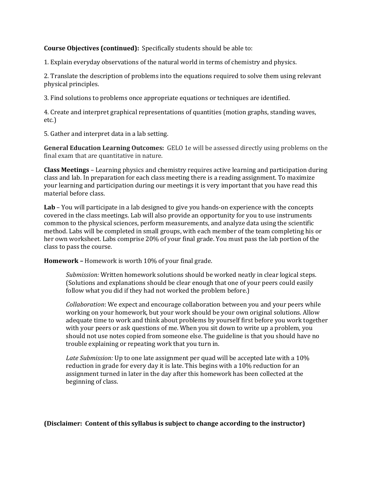## **Course Objectives (continued):** Specifically students should be able to:

1. Explain everyday observations of the natural world in terms of chemistry and physics.

2. Translate the description of problems into the equations required to solve them using relevant physical principles.

3. Find solutions to problems once appropriate equations or techniques are identified.

4. Create and interpret graphical representations of quantities (motion graphs, standing waves, etc.)

5. Gather and interpret data in a lab setting.

**General Education Learning Outcomes:** GELO 1e will be assessed directly using problems on the final exam that are quantitative in nature.

**Class Meetings** – Learning physics and chemistry requires active learning and participation during class and lab. In preparation for each class meeting there is a reading assignment. To maximize your learning and participation during our meetings it is very important that you have read this material before class.

**Lab** – You will participate in a lab designed to give you hands-on experience with the concepts covered in the class meetings. Lab will also provide an opportunity for you to use instruments common to the physical sciences, perform measurements, and analyze data using the scientific method. Labs will be completed in small groups, with each member of the team completing his or her own worksheet. Labs comprise 20% of your final grade. You must pass the lab portion of the class to pass the course.

**Homework –** Homework is worth 10% of your final grade.

*Submission:* Written homework solutions should be worked neatly in clear logical steps. (Solutions and explanations should be clear enough that one of your peers could easily follow what you did if they had not worked the problem before.)

*Collaboration*: We expect and encourage collaboration between you and your peers while working on your homework, but your work should be your own original solutions. Allow adequate time to work and think about problems by yourself first before you work together with your peers or ask questions of me. When you sit down to write up a problem, you should not use notes copied from someone else. The guideline is that you should have no trouble explaining or repeating work that you turn in.

*Late Submission:* Up to one late assignment per quad will be accepted late with a 10% reduction in grade for every day it is late. This begins with a 10% reduction for an assignment turned in later in the day after this homework has been collected at the beginning of class.

**(Disclaimer: Content of this syllabus is subject to change according to the instructor)**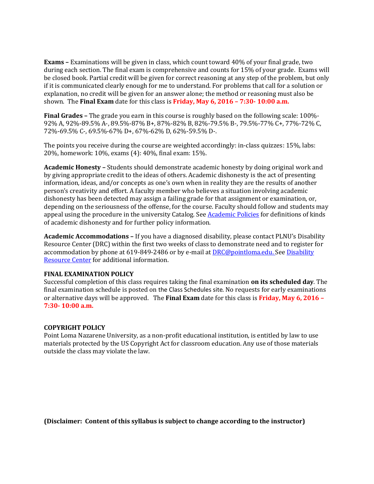**Exams –** Examinations will be given in class, which count toward 40% of your final grade, two during each section. The final exam is comprehensive and counts for 15% of your grade. Exams will be closed book. Partial credit will be given for correct reasoning at any step of the problem, but only if it is communicated clearly enough for me to understand. For problems that call for a solution or explanation, no credit will be given for an answer alone; the method or reasoning must also be shown. The **Final Exam** date for this class is **Friday, May 6, 2016 – 7:30- 10:00 a.m.**

**Final Grades –** The grade you earn in this course is roughly based on the following scale: 100%- 92% A, 92%-89.5% A-, 89.5%-87% B+, 87%-82% B, 82%-79.5% B-, 79.5%-77% C+, 77%-72% C, 72%-69.5% C-, 69.5%-67% D+, 67%-62% D, 62%-59.5% D-.

The points you receive during the course are weighted accordingly: in-class quizzes: 15%, labs: 20%, homework: 10%, exams (4): 40%, final exam: 15%.

**Academic Honesty –** Students should demonstrate academic honesty by doing original work and by giving appropriate credit to the ideas of others. Academic dishonesty is the act of presenting information, ideas, and/or concepts as one's own when in reality they are the results of another person's creativity and effort. A faculty member who believes a situation involving academic dishonesty has been detected may assign a failing grade for that assignment or examination, or, depending on the seriousness of the offense, for the course. Faculty should follow and students may appeal using the procedure in the university Catalog. See [Academic Policies](http://catalog.pointloma.edu/content.php?catoid=18&navoid=1278) for definitions of kinds of academic dishonesty and for further policy information.

**Academic Accommodations –** If you have a diagnosed disability, please contact PLNU's Disability Resource Center (DRC) within the first two weeks of class to demonstrate need and to register for accommodation by phone at 619-849-2486 or by e-mail at **DRC@pointloma.edu.** See Disability [Resource Center](http://www.pointloma.edu/experience/offices/administrative-offices/academic-advising-office/disability-resource-center) for additional information.

#### **FINAL EXAMINATION POLICY**

Successful completion of this class requires taking the final examination **on its scheduled day**. The final examination schedule is posted on the Class Schedules site. No requests for early examinations or alternative days will be approved. The **Final Exam** date for this class is **Friday, May 6, 2016 – 7:30- 10:00 a.m.**

#### **COPYRIGHT POLICY**

Point Loma Nazarene University, as a non-profit educational institution, is entitled by law to use materials protected by the US Copyright Act for classroom education. Any use of those materials outside the class may violate the law.

**(Disclaimer: Content of this syllabus is subject to change according to the instructor)**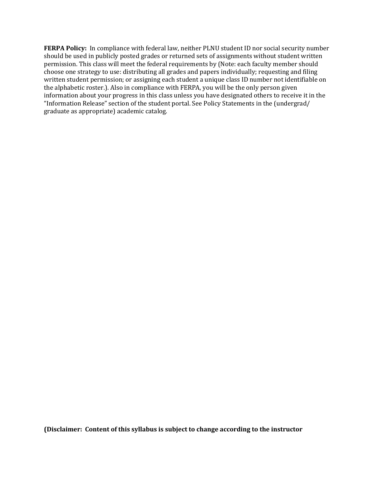**FERPA Policy:** In compliance with federal law, neither PLNU student ID nor social security number should be used in publicly posted grades or returned sets of assignments without student written permission. This class will meet the federal requirements by (Note: each faculty member should choose one strategy to use: distributing all grades and papers individually; requesting and filing written student permission; or assigning each student a unique class ID number not identifiable on the alphabetic roster.). Also in compliance with FERPA, you will be the only person given information about your progress in this class unless you have designated others to receive it in the "Information Release" section of the student portal. See Policy Statements in the (undergrad/ graduate as appropriate) academic catalog.